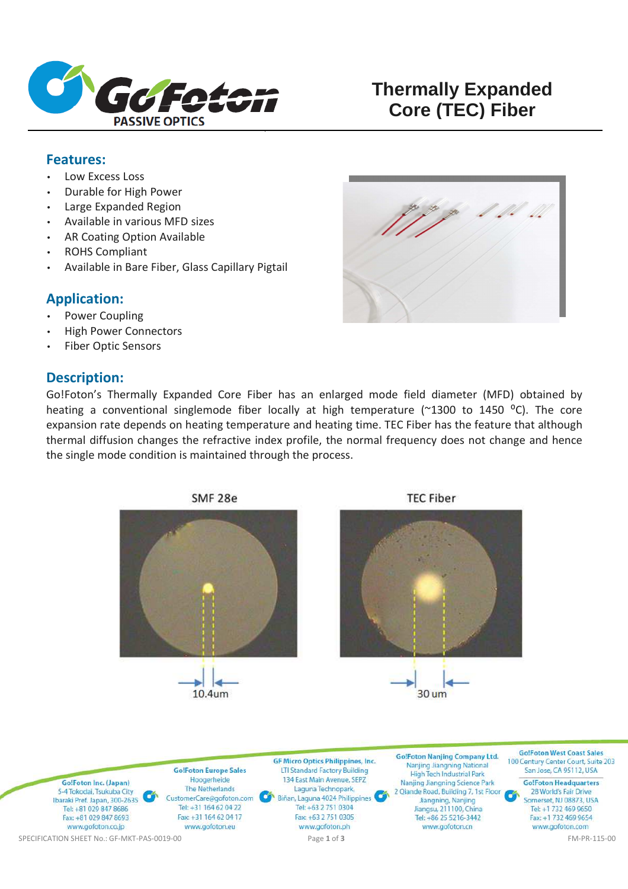

# **Thermally Expanded Core (TEC) Fiber**

#### **Features:**

- Low Excess Loss
- Durable for High Power
- Large Expanded Region
- Available in various MFD sizes
- AR Coating Option Available
- ROHS Compliant
- Available in Bare Fiber, Glass Capillary Pigtail

#### **Application:**

- Power Coupling
- High Power Connectors
- Fiber Optic Sensors

# **Description:**

Go!Foton's Thermally Expanded Core Fiber has an enlarged mode field diameter (MFD) obtained by heating a conventional singlemode fiber locally at high temperature ( $\approx$ 1300 to 1450 °C). The core expansion rate depends on heating temperature and heating time. TEC Fiber has the feature that although thermal diffusion changes the refractive index profile, the normal frequency does not change and hence the single mode condition is maintained through the process.



28 World's Fair Drive GS. Somerset, NJ 08873, USA Tel: +1 732 469 9650 Fax: +1 732 469 9654 www.gofoton.com

Jiangning, Nanjing

Jiangsu, 211100, China

Tel: +86 25 5216-3442

www.gofoton.cn

Ibaraki Pref. Japan, 300-2635

Tel: +81 029 847 8686

Fax: +81 029 847 8693

### SMF<sub>28e</sub>

CustomerCare@gofoton.com

Tel: +31 164 62 04 22

Fax: +31 164 62 04 17

www.gofoton.eu

Biñan, Laguna 4024 Philippines

Tel: +63 2 751 0304

Fax: +63 2 751 0305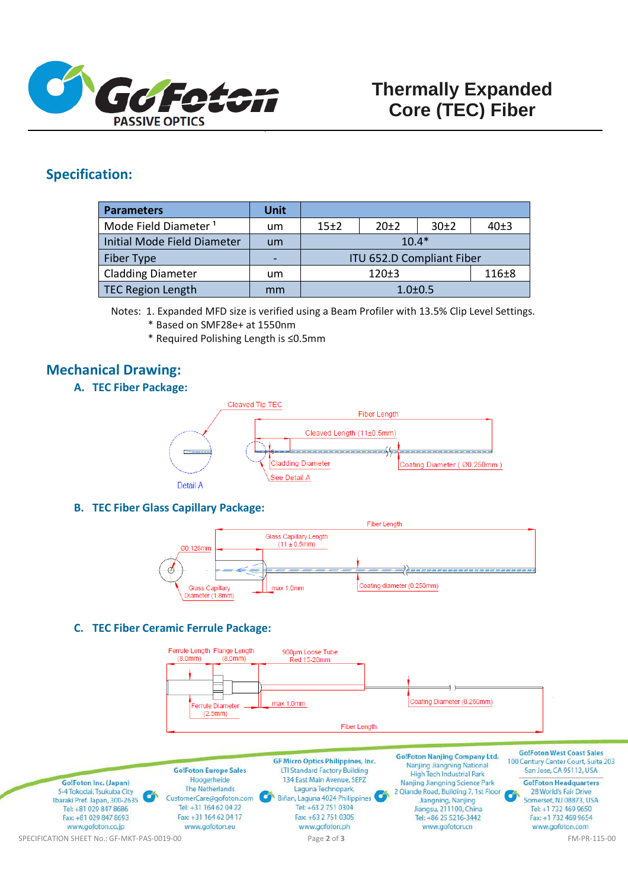

### **Specification:**

| <b>Parameters</b>                | Unit                     |                           |        |           |      |
|----------------------------------|--------------------------|---------------------------|--------|-----------|------|
| Mode Field Diameter <sup>1</sup> | um                       | 15±2                      | $20+2$ | 30±2      | 40±3 |
| Initial Mode Field Diameter      | um                       | $10.4*$                   |        |           |      |
| Fiber Type                       | $\overline{\phantom{0}}$ | ITU 652.D Compliant Fiber |        |           |      |
| <b>Cladding Diameter</b>         | um                       | 120±3                     |        | $116\pm8$ |      |
| TEC Region Length                | mm                       | $1.0 \pm 0.5$             |        |           |      |

Notes: 1. Expanded MFD size is verified using a Beam Profiler with 13.5% Clip Level Settings.

- \* Based on SMF28e+ at 1550nm
- \* Required Polishing Length is ≤0.5mm

# **Mechanical Drawing:**

**A. TEC Fiber Package:** 



**B. TEC Fiber Glass Capillary Package:** 



#### **C. TEC Fiber Ceramic Ferrule Package:**